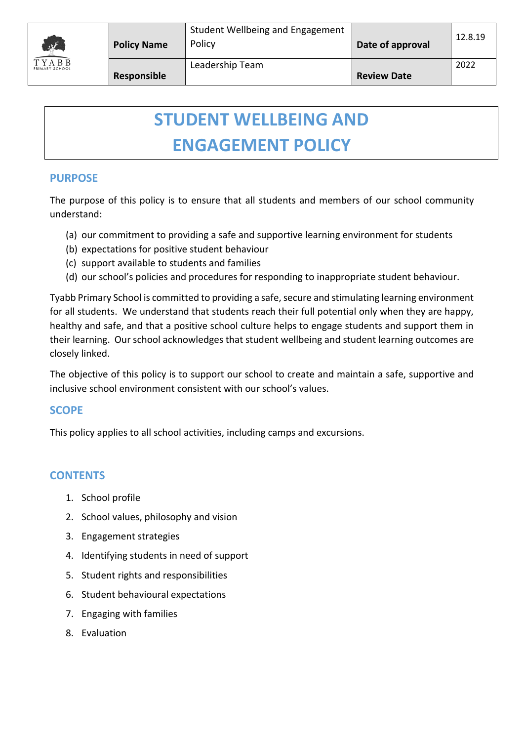

# **STUDENT WELLBEING AND ENGAGEMENT POLICY**

### **PURPOSE**

The purpose of this policy is to ensure that all students and members of our school community understand:

- (a) our commitment to providing a safe and supportive learning environment for students
- (b) expectations for positive student behaviour
- (c) support available to students and families
- (d) our school's policies and procedures for responding to inappropriate student behaviour.

Tyabb Primary School is committed to providing a safe, secure and stimulating learning environment for all students. We understand that students reach their full potential only when they are happy, healthy and safe, and that a positive school culture helps to engage students and support them in their learning. Our school acknowledges that student wellbeing and student learning outcomes are closely linked.

The objective of this policy is to support our school to create and maintain a safe, supportive and inclusive school environment consistent with our school's values.

### **SCOPE**

This policy applies to all school activities, including camps and excursions.

### **CONTENTS**

- 1. School profile
- 2. School values, philosophy and vision
- 3. Engagement strategies
- 4. Identifying students in need of support
- 5. Student rights and responsibilities
- 6. Student behavioural expectations
- 7. Engaging with families
- 8. Evaluation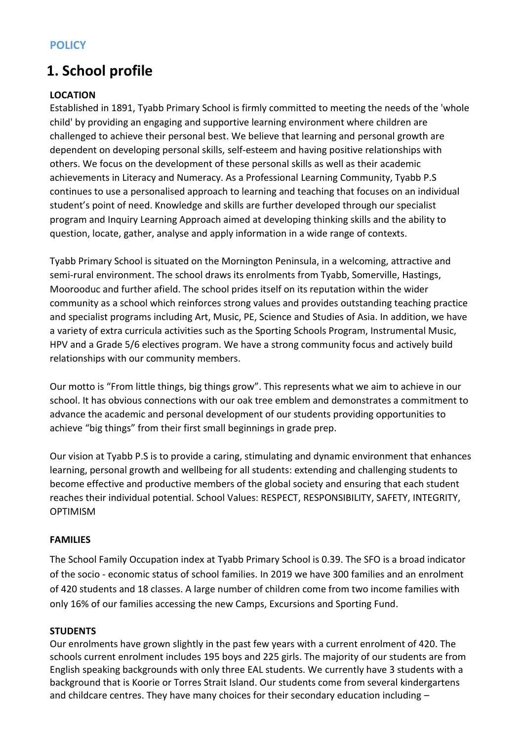### **1. School profile**

### **LOCATION**

Established in 1891, Tyabb Primary School is firmly committed to meeting the needs of the 'whole child' by providing an engaging and supportive learning environment where children are challenged to achieve their personal best. We believe that learning and personal growth are dependent on developing personal skills, self-esteem and having positive relationships with others. We focus on the development of these personal skills as well as their academic achievements in Literacy and Numeracy. As a Professional Learning Community, Tyabb P.S continues to use a personalised approach to learning and teaching that focuses on an individual student's point of need. Knowledge and skills are further developed through our specialist program and Inquiry Learning Approach aimed at developing thinking skills and the ability to question, locate, gather, analyse and apply information in a wide range of contexts.

Tyabb Primary School is situated on the Mornington Peninsula, in a welcoming, attractive and semi-rural environment. The school draws its enrolments from Tyabb, Somerville, Hastings, Moorooduc and further afield. The school prides itself on its reputation within the wider community as a school which reinforces strong values and provides outstanding teaching practice and specialist programs including Art, Music, PE, Science and Studies of Asia. In addition, we have a variety of extra curricula activities such as the Sporting Schools Program, Instrumental Music, HPV and a Grade 5/6 electives program. We have a strong community focus and actively build relationships with our community members.

Our motto is "From little things, big things grow". This represents what we aim to achieve in our school. It has obvious connections with our oak tree emblem and demonstrates a commitment to advance the academic and personal development of our students providing opportunities to achieve "big things" from their first small beginnings in grade prep.

Our vision at Tyabb P.S is to provide a caring, stimulating and dynamic environment that enhances learning, personal growth and wellbeing for all students: extending and challenging students to become effective and productive members of the global society and ensuring that each student reaches their individual potential. School Values: RESPECT, RESPONSIBILITY, SAFETY, INTEGRITY, OPTIMISM

### **FAMILIES**

The School Family Occupation index at Tyabb Primary School is 0.39. The SFO is a broad indicator of the socio - economic status of school families. In 2019 we have 300 families and an enrolment of 420 students and 18 classes. A large number of children come from two income families with only 16% of our families accessing the new Camps, Excursions and Sporting Fund.

### **STUDENTS**

Our enrolments have grown slightly in the past few years with a current enrolment of 420. The schools current enrolment includes 195 boys and 225 girls. The majority of our students are from English speaking backgrounds with only three EAL students. We currently have 3 students with a background that is Koorie or Torres Strait Island. Our students come from several kindergartens and childcare centres. They have many choices for their secondary education including -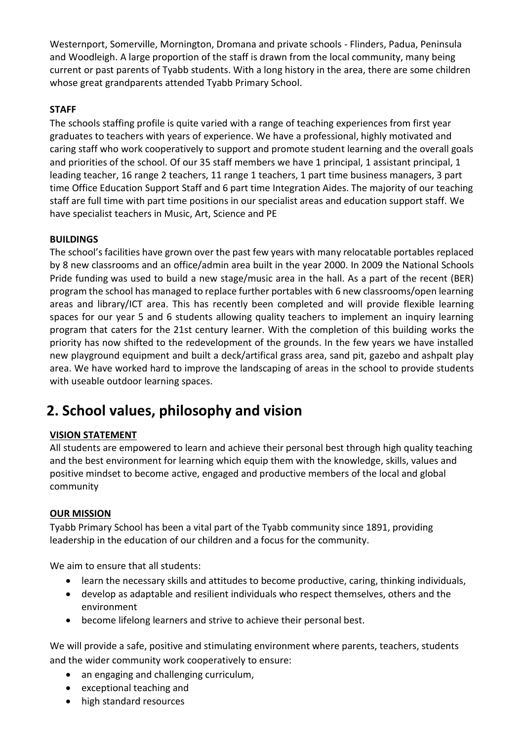Westernport, Somerville, Mornington, Dromana and private schools - Flinders, Padua, Peninsula and Woodleigh. A large proportion of the staff is drawn from the local community, many being current or past parents of Tyabb students. With a long history in the area, there are some children whose great grandparents attended Tyabb Primary School.

### **STAFF**

The schools staffing profile is quite varied with a range of teaching experiences from first year graduates to teachers with years of experience. We have a professional, highly motivated and caring staff who work cooperatively to support and promote student learning and the overall goals and priorities of the school. Of our 35 staff members we have 1 principal, 1 assistant principal, 1 leading teacher, 16 range 2 teachers, 11 range 1 teachers, 1 part time business managers, 3 part time Office Education Support Staff and 6 part time Integration Aides. The majority of our teaching staff are full time with part time positions in our specialist areas and education support staff. We have specialist teachers in Music, Art, Science and PE

### **BUILDINGS**

The school's facilities have grown over the past few years with many relocatable portables replaced by 8 new classrooms and an office/admin area built in the year 2000. In 2009 the National Schools Pride funding was used to build a new stage/music area in the hall. As a part of the recent (BER) program the school has managed to replace further portables with 6 new classrooms/open learning areas and library/ICT area. This has recently been completed and will provide flexible learning spaces for our year 5 and 6 students allowing quality teachers to implement an inquiry learning program that caters for the 21st century learner. With the completion of this building works the priority has now shifted to the redevelopment of the grounds. In the few years we have installed new playground equipment and built a deck/artifical grass area, sand pit, gazebo and ashpalt play area. We have worked hard to improve the landscaping of areas in the school to provide students with useable outdoor learning spaces.

### **2. School values, philosophy and vision**

### **VISION STATEMENT**

All students are empowered to learn and achieve their personal best through high quality teaching and the best environment for learning which equip them with the knowledge, skills, values and positive mindset to become active, engaged and productive members of the local and global community

### **OUR MISSION**

Tyabb Primary School has been a vital part of the Tyabb community since 1891, providing leadership in the education of our children and a focus for the community.

We aim to ensure that all students:

- learn the necessary skills and attitudes to become productive, caring, thinking individuals,
- develop as adaptable and resilient individuals who respect themselves, others and the environment
- become lifelong learners and strive to achieve their personal best.

We will provide a safe, positive and stimulating environment where parents, teachers, students and the wider community work cooperatively to ensure:

- an engaging and challenging curriculum,
- exceptional teaching and
- high standard resources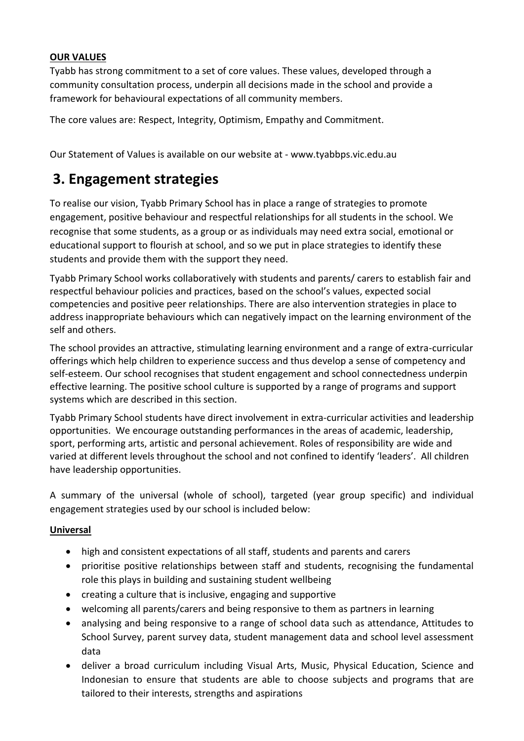### **OUR VALUES**

Tyabb has strong commitment to a set of core values. These values, developed through a community consultation process, underpin all decisions made in the school and provide a framework for behavioural expectations of all community members.

The core values are: Respect, Integrity, Optimism, Empathy and Commitment.

Our Statement of Values is available on our website at - www.tyabbps.vic.edu.au

### **3. Engagement strategies**

To realise our vision, Tyabb Primary School has in place a range of strategies to promote engagement, positive behaviour and respectful relationships for all students in the school. We recognise that some students, as a group or as individuals may need extra social, emotional or educational support to flourish at school, and so we put in place strategies to identify these students and provide them with the support they need.

Tyabb Primary School works collaboratively with students and parents/ carers to establish fair and respectful behaviour policies and practices, based on the school's values, expected social competencies and positive peer relationships. There are also intervention strategies in place to address inappropriate behaviours which can negatively impact on the learning environment of the self and others.

The school provides an attractive, stimulating learning environment and a range of extra-curricular offerings which help children to experience success and thus develop a sense of competency and self-esteem. Our school recognises that student engagement and school connectedness underpin effective learning. The positive school culture is supported by a range of programs and support systems which are described in this section.

Tyabb Primary School students have direct involvement in extra-curricular activities and leadership opportunities. We encourage outstanding performances in the areas of academic, leadership, sport, performing arts, artistic and personal achievement. Roles of responsibility are wide and varied at different levels throughout the school and not confined to identify 'leaders'. All children have leadership opportunities.

A summary of the universal (whole of school), targeted (year group specific) and individual engagement strategies used by our school is included below:

### **Universal**

- high and consistent expectations of all staff, students and parents and carers
- prioritise positive relationships between staff and students, recognising the fundamental role this plays in building and sustaining student wellbeing
- creating a culture that is inclusive, engaging and supportive
- welcoming all parents/carers and being responsive to them as partners in learning
- analysing and being responsive to a range of school data such as attendance, Attitudes to School Survey, parent survey data, student management data and school level assessment data
- deliver a broad curriculum including Visual Arts, Music, Physical Education, Science and Indonesian to ensure that students are able to choose subjects and programs that are tailored to their interests, strengths and aspirations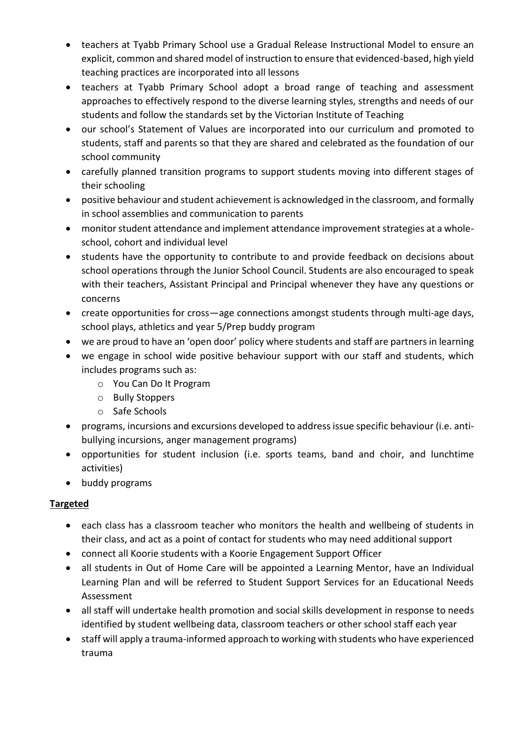- teachers at Tyabb Primary School use a Gradual Release Instructional Model to ensure an explicit, common and shared model of instruction to ensure that evidenced-based, high yield teaching practices are incorporated into all lessons
- teachers at Tyabb Primary School adopt a broad range of teaching and assessment approaches to effectively respond to the diverse learning styles, strengths and needs of our students and follow the standards set by the Victorian Institute of Teaching
- our school's Statement of Values are incorporated into our curriculum and promoted to students, staff and parents so that they are shared and celebrated as the foundation of our school community
- carefully planned transition programs to support students moving into different stages of their schooling
- positive behaviour and student achievement is acknowledged in the classroom, and formally in school assemblies and communication to parents
- monitor student attendance and implement attendance improvement strategies at a wholeschool, cohort and individual level
- students have the opportunity to contribute to and provide feedback on decisions about school operations through the Junior School Council. Students are also encouraged to speak with their teachers, Assistant Principal and Principal whenever they have any questions or concerns
- create opportunities for cross—age connections amongst students through multi-age days, school plays, athletics and year 5/Prep buddy program
- we are proud to have an 'open door' policy where students and staff are partners in learning
- we engage in school wide positive behaviour support with our staff and students, which includes programs such as:
	- o You Can Do It Program
	- o Bully Stoppers
	- o Safe Schools
- programs, incursions and excursions developed to address issue specific behaviour (i.e. antibullying incursions, anger management programs)
- opportunities for student inclusion (i.e. sports teams, band and choir, and lunchtime activities)
- buddy programs

### **Targeted**

- each class has a classroom teacher who monitors the health and wellbeing of students in their class, and act as a point of contact for students who may need additional support
- connect all Koorie students with a Koorie Engagement Support Officer
- all students in Out of Home Care will be appointed a Learning Mentor, have an Individual Learning Plan and will be referred to Student Support Services for an Educational Needs Assessment
- all staff will undertake health promotion and social skills development in response to needs identified by student wellbeing data, classroom teachers or other school staff each year
- staff will apply a trauma-informed approach to working with students who have experienced trauma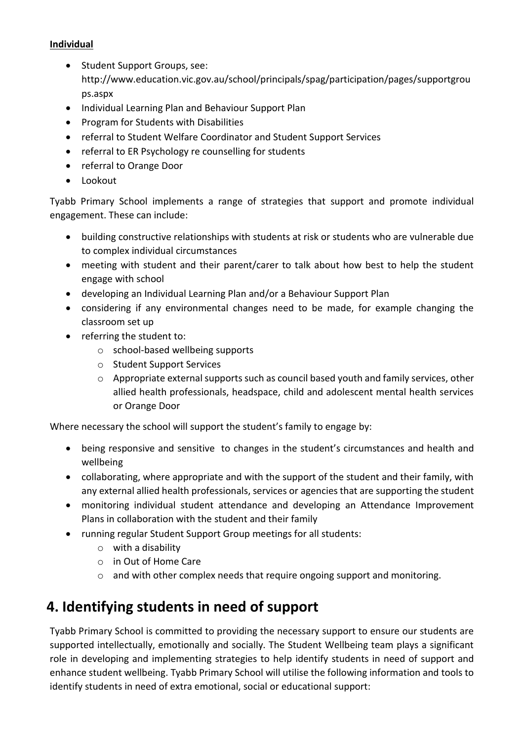### **Individual**

- Student Support Groups, see: http://www.education.vic.gov.au/school/principals/spag/participation/pages/supportgrou ps.aspx
- Individual Learning Plan and Behaviour Support Plan
- Program for Students with Disabilities
- referral to Student Welfare Coordinator and Student Support Services
- referral to ER Psychology re counselling for students
- referral to Orange Door
- Lookout

Tyabb Primary School implements a range of strategies that support and promote individual engagement. These can include:

- building constructive relationships with students at risk or students who are vulnerable due to complex individual circumstances
- meeting with student and their parent/carer to talk about how best to help the student engage with school
- developing an Individual Learning Plan and/or a Behaviour Support Plan
- considering if any environmental changes need to be made, for example changing the classroom set up
- referring the student to:
	- o school-based wellbeing supports
	- o Student Support Services
	- o Appropriate external supports such as council based youth and family services, other allied health professionals, headspace, child and adolescent mental health services or Orange Door

Where necessary the school will support the student's family to engage by:

- being responsive and sensitive to changes in the student's circumstances and health and wellbeing
- collaborating, where appropriate and with the support of the student and their family, with any external allied health professionals, services or agencies that are supporting the student
- monitoring individual student attendance and developing an Attendance Improvement Plans in collaboration with the student and their family
- running regular Student Support Group meetings for all students:
	- o with a disability
	- o in Out of Home Care
	- $\circ$  and with other complex needs that require ongoing support and monitoring.

### **4. Identifying students in need of support**

Tyabb Primary School is committed to providing the necessary support to ensure our students are supported intellectually, emotionally and socially. The Student Wellbeing team plays a significant role in developing and implementing strategies to help identify students in need of support and enhance student wellbeing. Tyabb Primary School will utilise the following information and tools to identify students in need of extra emotional, social or educational support: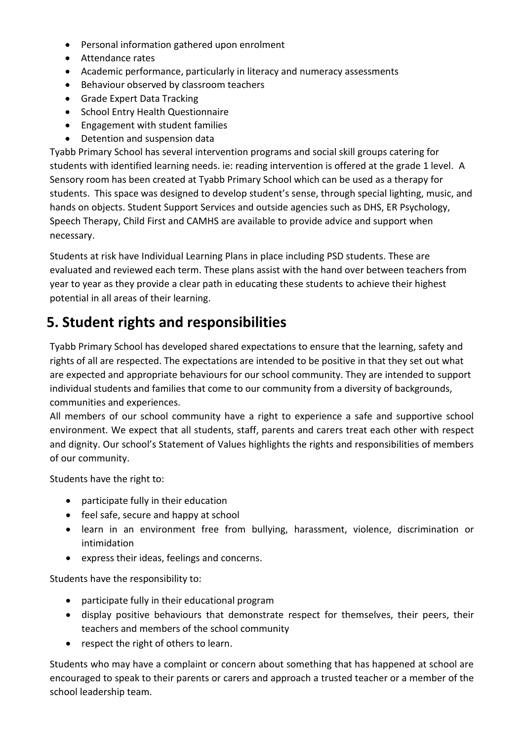- Personal information gathered upon enrolment
- Attendance rates
- Academic performance, particularly in literacy and numeracy assessments
- Behaviour observed by classroom teachers
- Grade Expert Data Tracking
- School Entry Health Questionnaire
- Engagement with student families
- Detention and suspension data

Tyabb Primary School has several intervention programs and social skill groups catering for students with identified learning needs. ie: reading intervention is offered at the grade 1 level. A Sensory room has been created at Tyabb Primary School which can be used as a therapy for students. This space was designed to develop student's sense, through special lighting, music, and hands on objects. Student Support Services and outside agencies such as DHS, ER Psychology, Speech Therapy, Child First and CAMHS are available to provide advice and support when necessary.

Students at risk have Individual Learning Plans in place including PSD students. These are evaluated and reviewed each term. These plans assist with the hand over between teachers from year to year as they provide a clear path in educating these students to achieve their highest potential in all areas of their learning.

### **5. Student rights and responsibilities**

Tyabb Primary School has developed shared expectations to ensure that the learning, safety and rights of all are respected. The expectations are intended to be positive in that they set out what are expected and appropriate behaviours for our school community. They are intended to support individual students and families that come to our community from a diversity of backgrounds, communities and experiences.

All members of our school community have a right to experience a safe and supportive school environment. We expect that all students, staff, parents and carers treat each other with respect and dignity. Our school's Statement of Values highlights the rights and responsibilities of members of our community.

Students have the right to:

- participate fully in their education
- feel safe, secure and happy at school
- learn in an environment free from bullying, harassment, violence, discrimination or intimidation
- express their ideas, feelings and concerns.

Students have the responsibility to:

- participate fully in their educational program
- display positive behaviours that demonstrate respect for themselves, their peers, their teachers and members of the school community
- respect the right of others to learn.

Students who may have a complaint or concern about something that has happened at school are encouraged to speak to their parents or carers and approach a trusted teacher or a member of the school leadership team.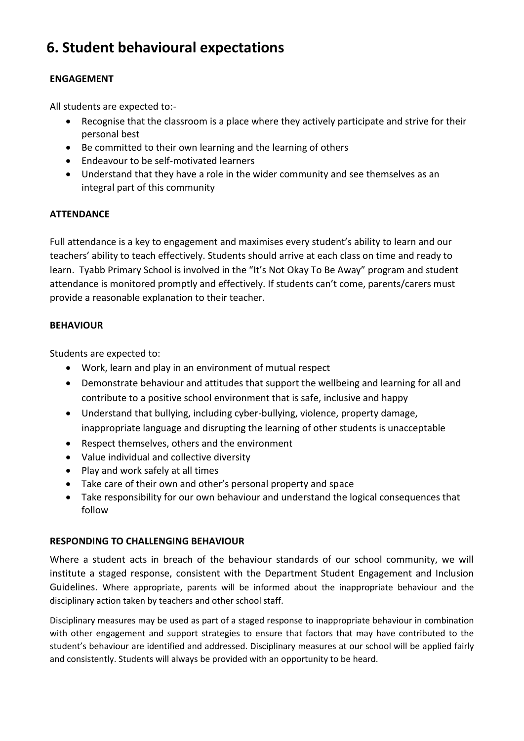### **6. Student behavioural expectations**

### **ENGAGEMENT**

All students are expected to:-

- Recognise that the classroom is a place where they actively participate and strive for their personal best
- Be committed to their own learning and the learning of others
- Endeavour to be self-motivated learners
- Understand that they have a role in the wider community and see themselves as an integral part of this community

### **ATTENDANCE**

Full attendance is a key to engagement and maximises every student's ability to learn and our teachers' ability to teach effectively. Students should arrive at each class on time and ready to learn. Tyabb Primary School is involved in the "It's Not Okay To Be Away" program and student attendance is monitored promptly and effectively. If students can't come, parents/carers must provide a reasonable explanation to their teacher.

#### **BEHAVIOUR**

Students are expected to:

- Work, learn and play in an environment of mutual respect
- Demonstrate behaviour and attitudes that support the wellbeing and learning for all and contribute to a positive school environment that is safe, inclusive and happy
- Understand that bullying, including cyber-bullying, violence, property damage, inappropriate language and disrupting the learning of other students is unacceptable
- Respect themselves, others and the environment
- Value individual and collective diversity
- Play and work safely at all times
- Take care of their own and other's personal property and space
- Take responsibility for our own behaviour and understand the logical consequences that follow

### **RESPONDING TO CHALLENGING BEHAVIOUR**

Where a student acts in breach of the behaviour standards of our school community, we will institute a staged response, consistent with the Department Student Engagement and Inclusion Guidelines. Where appropriate, parents will be informed about the inappropriate behaviour and the disciplinary action taken by teachers and other school staff.

Disciplinary measures may be used as part of a staged response to inappropriate behaviour in combination with other engagement and support strategies to ensure that factors that may have contributed to the student's behaviour are identified and addressed. Disciplinary measures at our school will be applied fairly and consistently. Students will always be provided with an opportunity to be heard.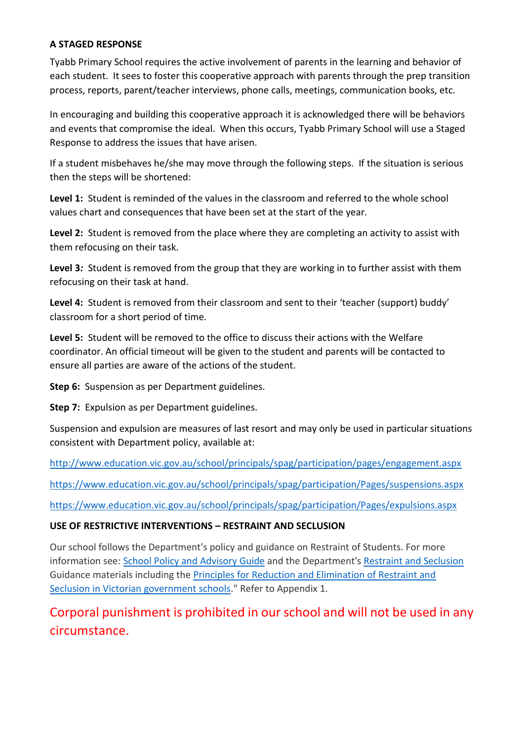### **A STAGED RESPONSE**

Tyabb Primary School requires the active involvement of parents in the learning and behavior of each student. It sees to foster this cooperative approach with parents through the prep transition process, reports, parent/teacher interviews, phone calls, meetings, communication books, etc.

In encouraging and building this cooperative approach it is acknowledged there will be behaviors and events that compromise the ideal. When this occurs, Tyabb Primary School will use a Staged Response to address the issues that have arisen.

If a student misbehaves he/she may move through the following steps. If the situation is serious then the steps will be shortened:

**Level 1:** Student is reminded of the values in the classroom and referred to the whole school values chart and consequences that have been set at the start of the year.

**Level 2:** Student is removed from the place where they are completing an activity to assist with them refocusing on their task.

**Level 3***:* Student is removed from the group that they are working in to further assist with them refocusing on their task at hand.

Level 4: Student is removed from their classroom and sent to their 'teacher (support) buddy' classroom for a short period of time.

**Level 5:** Student will be removed to the office to discuss their actions with the Welfare coordinator. An official timeout will be given to the student and parents will be contacted to ensure all parties are aware of the actions of the student.

**Step 6:** Suspension as per Department guidelines.

**Step 7:** Expulsion as per Department guidelines.

Suspension and expulsion are measures of last resort and may only be used in particular situations consistent with Department policy, available at:

<http://www.education.vic.gov.au/school/principals/spag/participation/pages/engagement.aspx>

<https://www.education.vic.gov.au/school/principals/spag/participation/Pages/suspensions.aspx>

<https://www.education.vic.gov.au/school/principals/spag/participation/Pages/expulsions.aspx>

#### **USE OF RESTRICTIVE INTERVENTIONS – RESTRAINT AND SECLUSION**

Our school follows the Department's policy and guidance on Restraint of Students. For more information see: [School Policy and Advisory Guide](http://www.education.vic.gov.au/school/principals/spag/governance/Pages/restraint.aspx) and the Department's [Restraint and Seclusion](https://www.education.vic.gov.au/school/teachers/behaviour/restraint/Pages/default.aspx) Guidance materials including the [Principles for Reduction and Elimination of Restraint and](http://www.education.vic.gov.au/Documents/school/principals/participation/15Principals.pdf)  [Seclusion in Victorian government schools.](http://www.education.vic.gov.au/Documents/school/principals/participation/15Principals.pdf)" Refer to Appendix 1.

Corporal punishment is prohibited in our school and will not be used in any circumstance.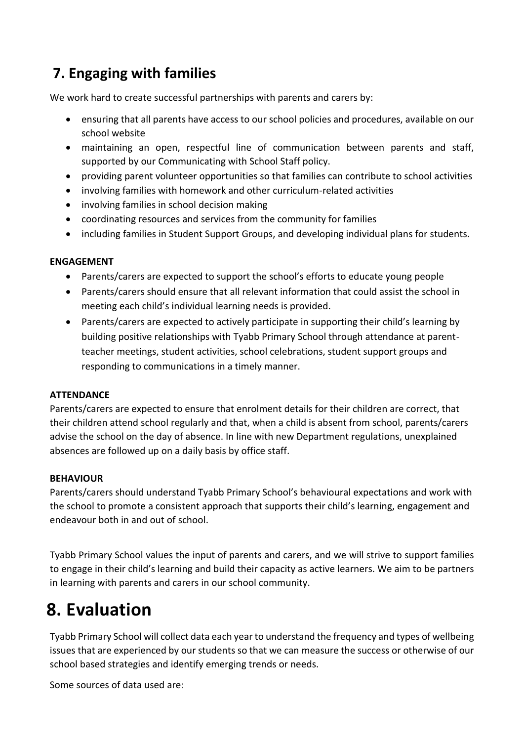### **7. Engaging with families**

We work hard to create successful partnerships with parents and carers by:

- ensuring that all parents have access to our school policies and procedures, available on our school website
- maintaining an open, respectful line of communication between parents and staff, supported by our Communicating with School Staff policy.
- providing parent volunteer opportunities so that families can contribute to school activities
- involving families with homework and other curriculum-related activities
- involving families in school decision making
- coordinating resources and services from the community for families
- including families in Student Support Groups, and developing individual plans for students.

### **ENGAGEMENT**

- Parents/carers are expected to support the school's efforts to educate young people
- Parents/carers should ensure that all relevant information that could assist the school in meeting each child's individual learning needs is provided.
- Parents/carers are expected to actively participate in supporting their child's learning by building positive relationships with Tyabb Primary School through attendance at parentteacher meetings, student activities, school celebrations, student support groups and responding to communications in a timely manner.

### **ATTENDANCE**

Parents/carers are expected to ensure that enrolment details for their children are correct, that their children attend school regularly and that, when a child is absent from school, parents/carers advise the school on the day of absence. In line with new Department regulations, unexplained absences are followed up on a daily basis by office staff.

### **BEHAVIOUR**

Parents/carers should understand Tyabb Primary School's behavioural expectations and work with the school to promote a consistent approach that supports their child's learning, engagement and endeavour both in and out of school.

Tyabb Primary School values the input of parents and carers, and we will strive to support families to engage in their child's learning and build their capacity as active learners. We aim to be partners in learning with parents and carers in our school community.

# **8. Evaluation**

Tyabb Primary School will collect data each year to understand the frequency and types of wellbeing issues that are experienced by our students so that we can measure the success or otherwise of our school based strategies and identify emerging trends or needs.

Some sources of data used are: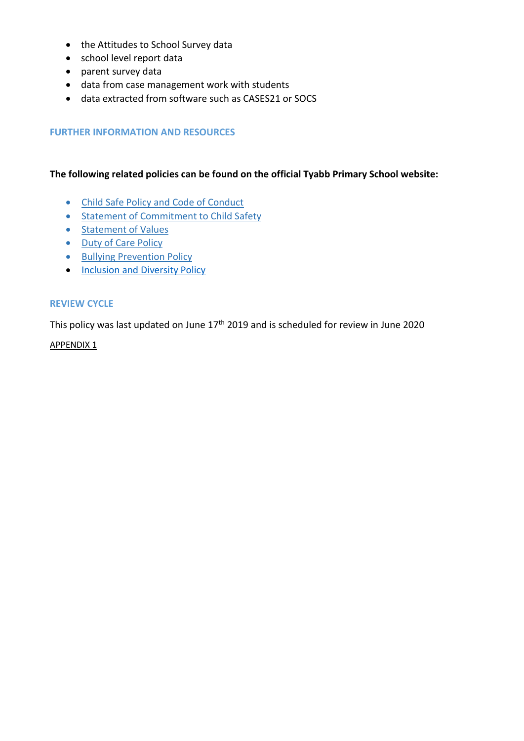- the Attitudes to School Survey data
- school level report data
- parent survey data
- data from case management work with students
- data extracted from software such as CASES21 or SOCS

#### **FURTHER INFORMATION AND RESOURCES**

#### **The following related policies can be found on the official Tyabb Primary School website:**

- [Child Safe Policy and Code of Conduct](http://www.tyabbps.vic.edu.au/wp-content/uploads/2018/05/Child-Safe-Policy-and-Code-of-Conduct.pdf)
- [Statement of Commitment to Child Safety](http://www.tyabbps.vic.edu.au/wp-content/uploads/2018/05/Statement-of-Commitment-to-Child-Safety-1.pdf)
- [Statement of Values](http://www.tyabbps.vic.edu.au/wp-content/uploads/2018/05/Statement-of-Values-1.pdf)
- [Duty of Care Policy](http://www.tyabbps.vic.edu.au/wp-content/uploads/2018/05/Duty-of-Care-Policy.pdf)
- [Bullying Prevention Policy](http://www.tyabbps.vic.edu.au/wp-content/uploads/2018/05/Bullying-Prevention-Policy.pdf)
- [Inclusion and Diversity Policy](http://www.tyabbps.vic.edu.au/wp-content/uploads/2018/05/Inclusion-and-Diversity-Policy-.pdf)

#### **REVIEW CYCLE**

This policy was last updated on June 17<sup>th</sup> 2019 and is scheduled for review in June 2020

APPENDIX 1